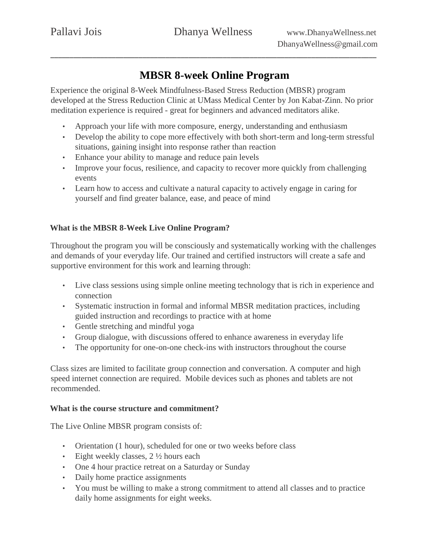# **MBSR 8-week Online Program**

Experience the original 8-Week Mindfulness-Based Stress Reduction (MBSR) program developed at the Stress Reduction Clinic at UMass Medical Center by Jon Kabat-Zinn. No prior meditation experience is required - great for beginners and advanced meditators alike.

- Approach your life with more composure, energy, understanding and enthusiasm
- Develop the ability to cope more effectively with both short-term and long-term stressful situations, gaining insight into response rather than reaction
- Enhance your ability to manage and reduce pain levels
- Improve your focus, resilience, and capacity to recover more quickly from challenging events
- Learn how to access and cultivate a natural capacity to actively engage in caring for yourself and find greater balance, ease, and peace of mind

# **What is the MBSR 8-Week Live Online Program?**

Throughout the program you will be consciously and systematically working with the challenges and demands of your everyday life. Our trained and certified instructors will create a safe and supportive environment for this work and learning through:

- Live class sessions using simple online meeting technology that is rich in experience and connection
- Systematic instruction in formal and informal MBSR meditation practices, including guided instruction and recordings to practice with at home
- Gentle stretching and mindful yoga
- Group dialogue, with discussions offered to enhance awareness in everyday life
- The opportunity for one-on-one check-ins with instructors throughout the course

Class sizes are limited to facilitate group connection and conversation. A computer and high speed internet connection are required. Mobile devices such as phones and tablets are not recommended.

## **What is the course structure and commitment?**

The Live Online MBSR program consists of:

- Orientation (1 hour), scheduled for one or two weeks before class
- Eight weekly classes, 2 ½ hours each
- One 4 hour practice retreat on a Saturday or Sunday
- Daily home practice assignments
- You must be willing to make a strong commitment to attend all classes and to practice daily home assignments for eight weeks.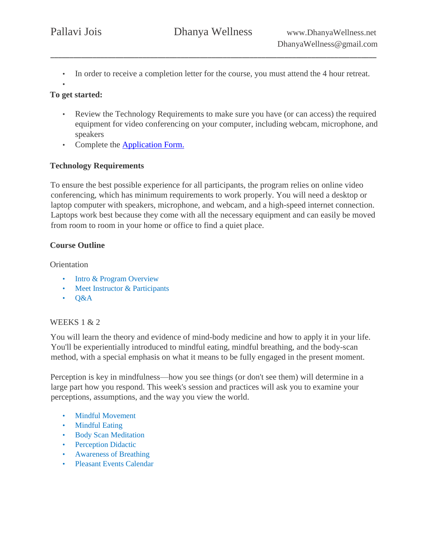- In order to receive a completion letter for the course, you must attend the 4 hour retreat.
- •

## **To get started:**

- Review the Technology Requirements to make sure you have (or can access) the required equipment for video conferencing on your computer, including webcam, microphone, and speakers
- Compl[e](https://forms.gle/Nko4JadGYnmyuBRV7)te the **[Application Form](https://forms.gle/L8jaZixjArEZLZMj7).**

## **Technology Requirements**

To ensure the best possible experience for all participants, the program relies on online video conferencing, which has minimum requirements to work properly. You will need a desktop or laptop computer with speakers, microphone, and webcam, and a high-speed internet connection. Laptops work best because they come with all the necessary equipment and can easily be moved from room to room in your home or office to find a quiet place.

## **Course Outline**

**Orientation** 

- Intro & Program Overview
- Meet Instructor & Participants
- Q&A

# WEEKS 1 & 2

You will learn the theory and evidence of mind-body medicine and how to apply it in your life. You'll be experientially introduced to mindful eating, mindful breathing, and the body-scan method, with a special emphasis on what it means to be fully engaged in the present moment.

Perception is key in mindfulness—how you see things (or don't see them) will determine in a large part how you respond. This week's session and practices will ask you to examine your perceptions, assumptions, and the way you view the world.

- Mindful Movement
- Mindful Eating
- Body Scan Meditation
- Perception Didactic
- Awareness of Breathing
- Pleasant Events Calendar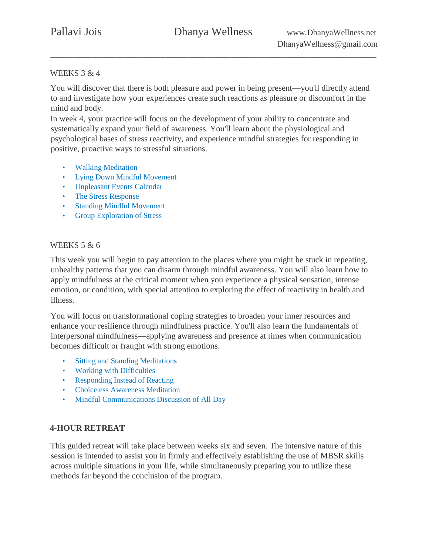## WEEKS 3 & 4

You will discover that there is both pleasure and power in being present—you'll directly attend to and investigate how your experiences create such reactions as pleasure or discomfort in the mind and body.

In week 4, your practice will focus on the development of your ability to concentrate and systematically expand your field of awareness. You'll learn about the physiological and psychological bases of stress reactivity, and experience mindful strategies for responding in positive, proactive ways to stressful situations.

- Walking Meditation
- **Lying Down Mindful Movement**
- Unpleasant Events Calendar
- The Stress Response
- Standing Mindful Movement
- Group Exploration of Stress

## WEEKS 5 & 6

This week you will begin to pay attention to the places where you might be stuck in repeating, unhealthy patterns that you can disarm through mindful awareness. You will also learn how to apply mindfulness at the critical moment when you experience a physical sensation, intense emotion, or condition, with special attention to exploring the effect of reactivity in health and illness.

You will focus on transformational coping strategies to broaden your inner resources and enhance your resilience through mindfulness practice. You'll also learn the fundamentals of interpersonal mindfulness—applying awareness and presence at times when communication becomes difficult or fraught with strong emotions.

- Sitting and Standing Meditations
- Working with Difficulties
- Responding Instead of Reacting
- Choiceless Awareness Meditation
- Mindful Communications Discussion of All Day

## **4-HOUR RETREAT**

This guided retreat will take place between weeks six and seven. The intensive nature of this session is intended to assist you in firmly and effectively establishing the use of MBSR skills across multiple situations in your life, while simultaneously preparing you to utilize these methods far beyond the conclusion of the program.